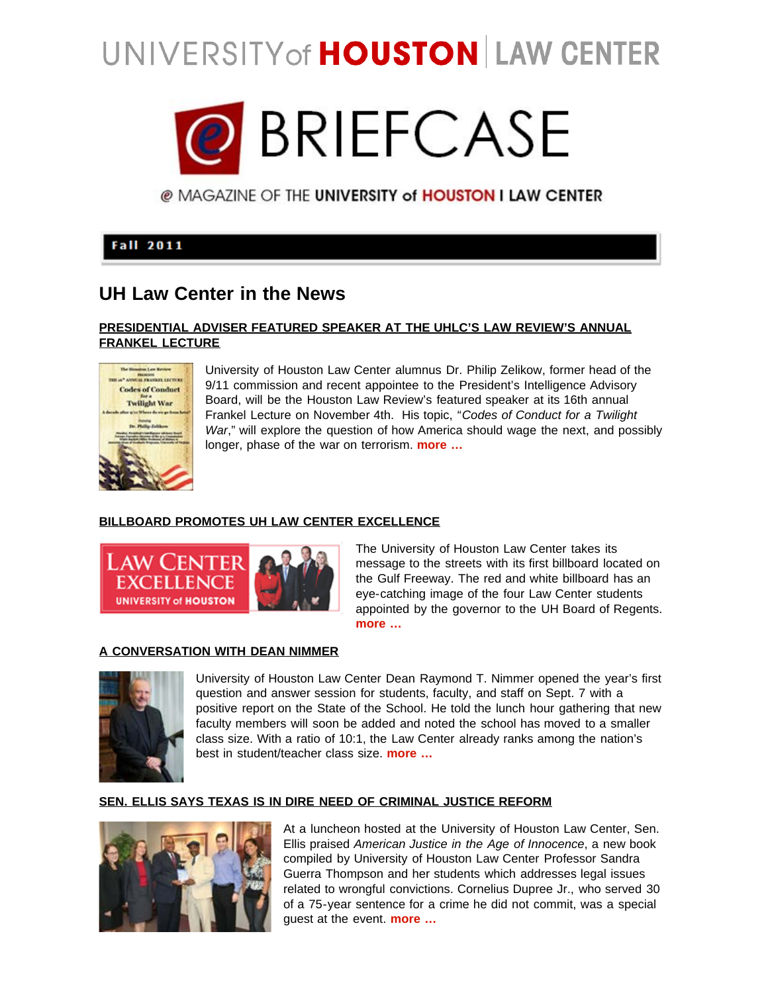# UNIVERSITY of HOUSTON LAW CENTER



@ MAGAZINE OF THE UNIVERSITY of HOUSTON I LAW CENTER

# **Fall 2011**

# **UH Law Center in the News**

## **[PRESIDENTIAL ADVISER FEATURED SPEAKER AT THE UHLC'S LAW REVIEW'S ANNUAL](http://www.law.uh.edu/news/fall2011/0914frankel.html) [FRANKEL LECTURE](http://www.law.uh.edu/news/fall2011/0914frankel.html)**



 University of Houston Law Center alumnus Dr. Philip Zelikow, former head of the 9/11 commission and recent appointee to the President's Intelligence Advisory Board, will be the Houston Law Review's featured speaker at its 16th annual Frankel Lecture on November 4th. His topic, "*Codes of Conduct for a Twilight War*," will explore the question of how America should wage the next, and possibly longer, phase of the war on terrorism. **[more …](http://www.law.uh.edu/news/fall2011/0914frankel.html)**

# **[BILLBOARD PROMOTES UH LAW CENTER EXCELLENCE](http://www.law.uh.edu/news/fall2011/0916billboard.html)**



 The University of Houston Law Center takes its message to the streets with its first billboard located on the Gulf Freeway. The red and white billboard has an eye-catching image of the four Law Center students appointed by the governor to the UH Board of Regents. **[more …](http://www.law.uh.edu/news/fall2011/0916billboard.html)**

## **[A CONVERSATION WITH DEAN NIMMER](http://www.law.uh.edu/news/fall2011/0908dean.html)**



 University of Houston Law Center Dean Raymond T. Nimmer opened the year's first question and answer session for students, faculty, and staff on Sept. 7 with a positive report on the State of the School. He told the lunch hour gathering that new faculty members will soon be added and noted the school has moved to a smaller class size. With a ratio of 10:1, the Law Center already ranks among the nation's best in student/teacher class size. **[more …](http://www.law.uh.edu/news/fall2011/0908dean.html)**

# **[SEN. ELLIS SAYS TEXAS IS IN DIRE NEED OF CRIMINAL JUSTICE REFORM](http://www.law.uh.edu/news/fall2011/0825book.html)**



 At a luncheon hosted at the University of Houston Law Center, Sen. Ellis praised *American Justice in the Age of Innocence*, a new book compiled by University of Houston Law Center Professor Sandra Guerra Thompson and her students which addresses legal issues related to wrongful convictions. Cornelius Dupree Jr., who served 30 of a 75-year sentence for a crime he did not commit, was a special guest at the event. **[more …](http://www.law.uh.edu/news/fall2011/0825book.html)**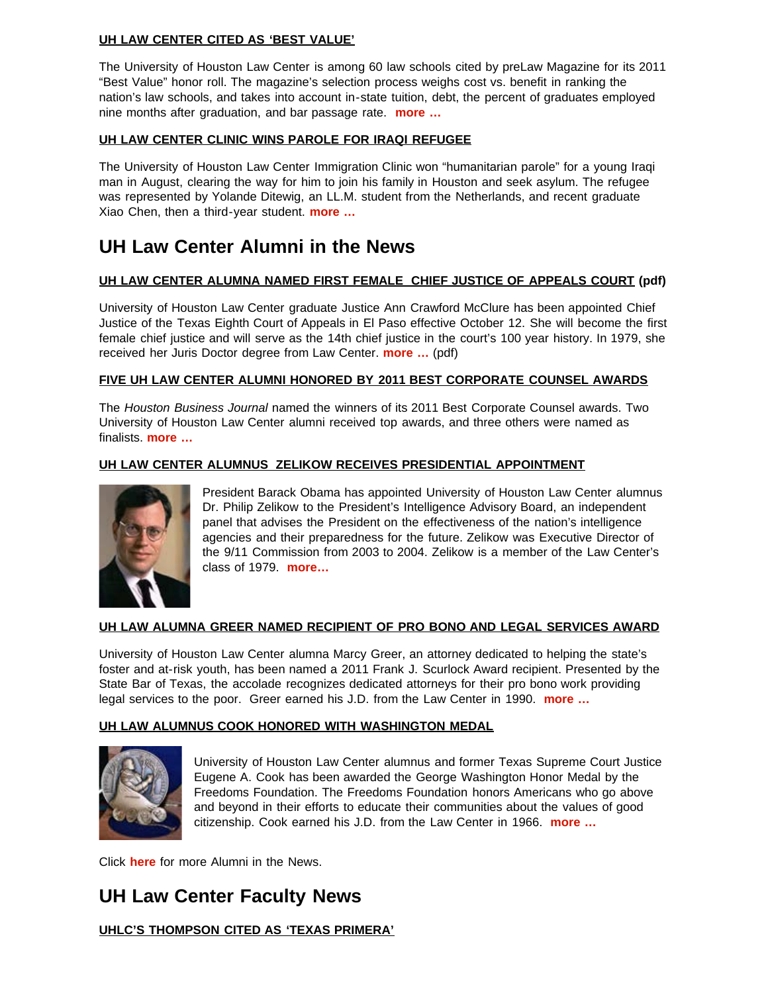## **[UH LAW CENTER CITED AS 'BEST VALUE'](http://www.law.uh.edu/news/fall2011/0823value.html)**

The University of Houston Law Center is among 60 law schools cited by preLaw Magazine for its 2011 "Best Value" honor roll. The magazine's selection process weighs cost vs. benefit in ranking the nation's law schools, and takes into account in-state tuition, debt, the percent of graduates employed nine months after graduation, and bar passage rate. **[more …](http://www.law.uh.edu/news/fall2011/0823value.html)**

# **[UH LAW CENTER CLINIC WINS PAROLE FOR IRAQI REFUGEE](http://www.law.uh.edu/news/summer2011/0811Workshop.html)**

The University of Houston Law Center Immigration Clinic won "humanitarian parole" for a young Iraqi man in August, clearing the way for him to join his family in Houston and seek asylum. The refugee was represented by Yolande Ditewig, an LL.M. student from the Netherlands, and recent graduate Xiao Chen, then a third-year student. **[more …](http://www.law.uh.edu/news/summer2011/0811Workshop.html)**

# **UH Law Center Alumni in the News**

# **[UH LAW CENTER ALUMNA NAMED FIRST FEMALE CHIEF JUSTICE OF APPEALS COURT](http://www.law.uh.edu/alumni/alumni-news/2011-0920McClure.pdf) (pdf)**

University of Houston Law Center graduate Justice Ann Crawford McClure has been appointed Chief Justice of the Texas Eighth Court of Appeals in El Paso effective October 12. She will become the first female chief justice and will serve as the 14th chief justice in the court's 100 year history. In 1979, she received her Juris Doctor degree from Law Center. **[more …](http://www.law.uh.edu/alumni/alumni-news/2011-0920McClure.pdf)** (pdf)

#### **[FIVE UH LAW CENTER ALUMNI HONORED BY 2011 BEST CORPORATE COUNSEL AWARDS](http://www.law.uh.edu/news/fall2011/0915hbj.html)**

The *Houston Business Journal* named the winners of its 2011 Best Corporate Counsel awards. Two University of Houston Law Center alumni received top awards, and three others were named as finalists. **[more …](http://www.law.uh.edu/news/fall2011/0915hbj.html)**

#### **[UH LAW CENTER ALUMNUS ZELIKOW RECEIVES PRESIDENTIAL APPOINTMENT](http://www.law.uh.edu/news/fall2011/0909zelikow.html)**



 President Barack Obama has appointed University of Houston Law Center alumnus Dr. Philip Zelikow to the President's Intelligence Advisory Board, an independent panel that advises the President on the effectiveness of the nation's intelligence agencies and their preparedness for the future. Zelikow was Executive Director of the 9/11 Commission from 2003 to 2004. Zelikow is a member of the Law Center's class of 1979. **[more…](http://www.law.uh.edu/news/fall2011/0909zelikow.html)**

# **[UH LAW ALUMNA GREER NAMED RECIPIENT OF PRO BONO AND LEGAL SERVICES AWARD](http://www.texasbar.com/AM/Template.cfm?Section=Texas_Bar_Journal&Template=/CM/ContentDisplay.cfm&ContentID=14694)**

University of Houston Law Center alumna Marcy Greer, an attorney dedicated to helping the state's foster and at-risk youth, has been named a 2011 Frank J. Scurlock Award recipient. Presented by the State Bar of Texas, the accolade recognizes dedicated attorneys for their pro bono work providing legal services to the poor. Greer earned his J.D. from the Law Center in 1990. **[more …](http://www.texasbar.com/AM/Template.cfm?Section=Texas_Bar_Journal&Template=/CM/ContentDisplay.cfm&ContentID=14694)**

#### **[UH LAW ALUMNUS COOK HONORED WITH WASHINGTON MEDAL](http://www.law.uh.edu/news/summer2011/0818cook.html)**



University of Houston Law Center alumnus and former Texas Supreme Court Justice Eugene A. Cook has been awarded the George Washington Honor Medal by the Freedoms Foundation. The Freedoms Foundation honors Americans who go above and beyond in their efforts to educate their communities about the values of good citizenship. Cook earned his J.D. from the Law Center in 1966. **[more …](http://www.law.uh.edu/news/summer2011/0818cook.html)**

Click **[here](http://www.law.uh.edu/alumni/alumni-in-the-news.html)** for more Alumni in the News.

# **UH Law Center Faculty News**

# **[UHLC'S THOMPSON CITED AS 'TEXAS PRIMERA'](http://www.law.uh.edu/news/fall2011/0907thompson.html)**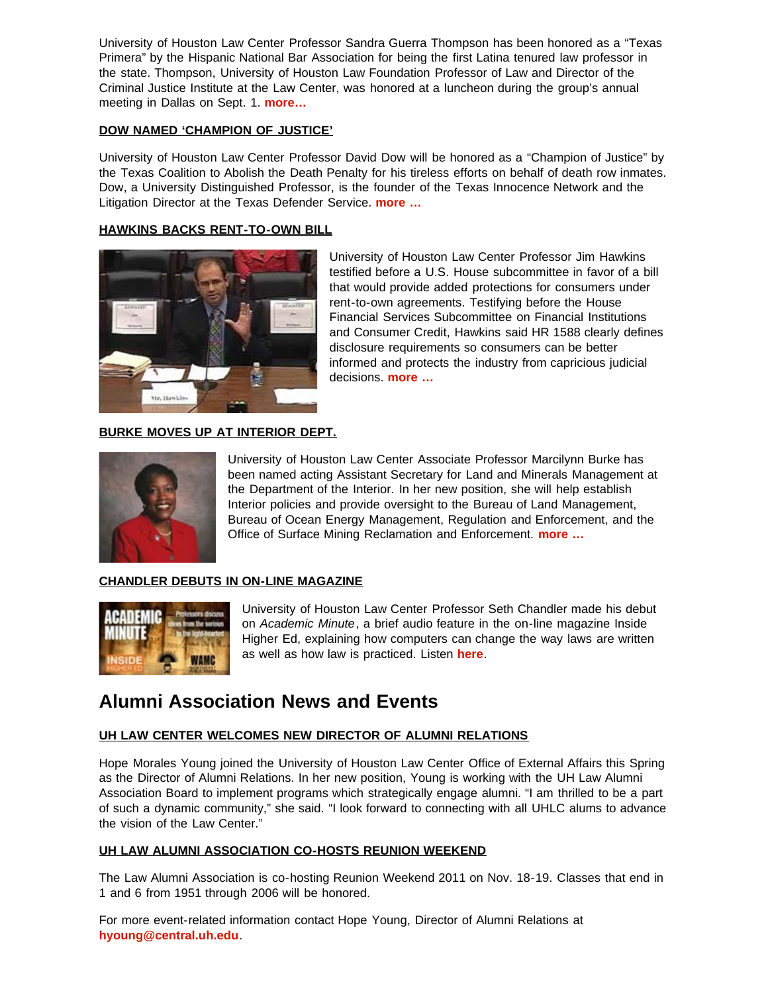University of Houston Law Center Professor Sandra Guerra Thompson has been honored as a "Texas Primera" by the Hispanic National Bar Association for being the first Latina tenured law professor in the state. Thompson, University of Houston Law Foundation Professor of Law and Director of the Criminal Justice Institute at the Law Center, was honored at a luncheon during the group's annual meeting in Dallas on Sept. 1. **[more…](http://www.law.uh.edu/news/fall2011/0907thompson.html)**

## **[DOW NAMED 'CHAMPION OF JUSTICE'](http://www.law.uh.edu/news/fall2011/0901dow.html)**

University of Houston Law Center Professor David Dow will be honored as a "Champion of Justice" by the Texas Coalition to Abolish the Death Penalty for his tireless efforts on behalf of death row inmates. Dow, a University Distinguished Professor, is the founder of the Texas Innocence Network and the Litigation Director at the Texas Defender Service. **[more …](http://www.law.uh.edu/news/fall2011/0901dow.html)**

#### **[HAWKINS BACKS RENT-TO-OWN BILL](http://www.law.uh.edu/news/summer2011/0726Hawkins.html)**



 University of Houston Law Center Professor Jim Hawkins testified before a U.S. House subcommittee in favor of a bill that would provide added protections for consumers under rent-to-own agreements. Testifying before the House Financial Services Subcommittee on Financial Institutions and Consumer Credit, Hawkins said HR 1588 clearly defines disclosure requirements so consumers can be better informed and protects the industry from capricious judicial decisions. **[more …](http://www.law.uh.edu/news/summer2011/0726Hawkins.html)**

# **[BURKE MOVES UP AT INTERIOR DEPT.](http://www.law.uh.edu/news/summer2011/0728Burke.html)**



 University of Houston Law Center Associate Professor Marcilynn Burke has been named acting Assistant Secretary for Land and Minerals Management at the Department of the Interior. In her new position, she will help establish Interior policies and provide oversight to the Bureau of Land Management, Bureau of Ocean Energy Management, Regulation and Enforcement, and the Office of Surface Mining Reclamation and Enforcement. **[more …](http://www.law.uh.edu/news/summer2011/0728Burke.html)**

# **[CHANDLER DEBUTS IN ON-LINE MAGAZINE](http://www.insidehighered.com/audio/academic_pulse/the_law_and_technology)**



 University of Houston Law Center Professor Seth Chandler made his debut on *Academic Minute*, a brief audio feature in the on-line magazine Inside Higher Ed, explaining how computers can change the way laws are written as well as how law is practiced. Listen **[here](http://www.insidehighered.com/audio/academic_pulse/the_law_and_technology)**.

# **Alumni Association News and Events**

# **[UH LAW CENTER WELCOMES NEW DIRECTOR OF ALUMNI RELATIONS](http://www.law.uh.edu/alumni/contact-us.html)**

Hope Morales Young joined the University of Houston Law Center Office of External Affairs this Spring as the Director of Alumni Relations. In her new position, Young is working with the UH Law Alumni Association Board to implement programs which strategically engage alumni. "I am thrilled to be a part of such a dynamic community," she said. "I look forward to connecting with all UHLC alums to advance the vision of the Law Center."

#### **[UH LAW ALUMNI ASSOCIATION CO-HOSTS REUNION WEEKEND](http://www.law.uh.edu/alumni/reunion/)**

The Law Alumni Association is co-hosting Reunion Weekend 2011 on Nov. 18-19. Classes that end in 1 and 6 from 1951 through 2006 will be honored.

For more event-related information contact Hope Young, Director of Alumni Relations at **[hyoung@central.uh.edu](mailto:hyoung@central.uh.edu)**.